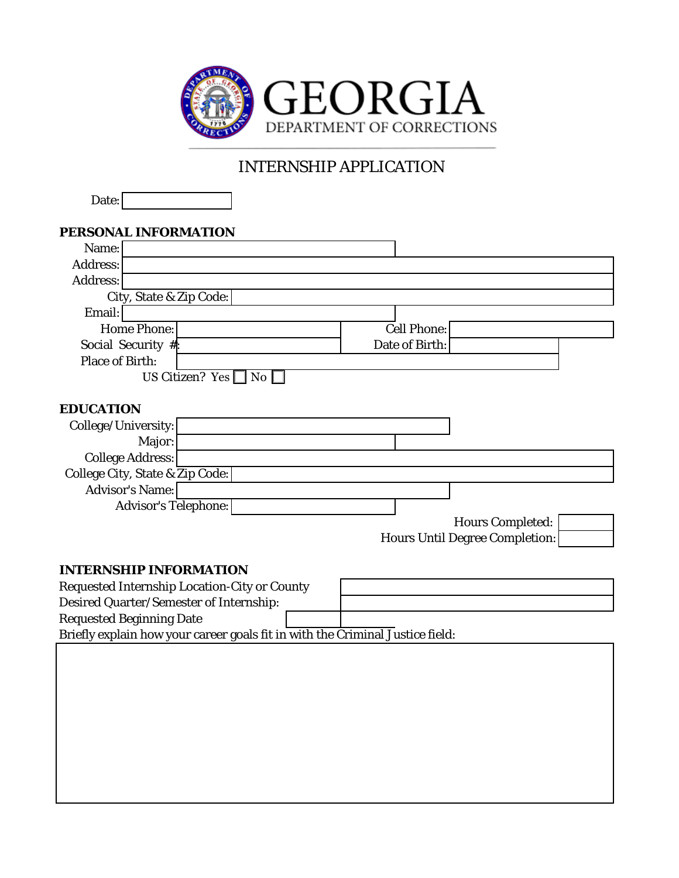

## INTERNSHIP APPLICATION

Date:

| PERSONAL INFORMATION                                                          |                                       |
|-------------------------------------------------------------------------------|---------------------------------------|
| Name:                                                                         |                                       |
| <b>Address:</b>                                                               |                                       |
| <b>Address:</b>                                                               |                                       |
| City, State & Zip Code:                                                       |                                       |
| Email:                                                                        |                                       |
| <b>Home Phone:</b>                                                            | <b>Cell Phone:</b>                    |
| Social Security #:                                                            | Date of Birth:                        |
| <b>Place of Birth:</b>                                                        |                                       |
| US Citizen? Yes $\Box$ No $\Box$                                              |                                       |
|                                                                               |                                       |
| <b>EDUCATION</b>                                                              |                                       |
| College/University:                                                           |                                       |
| Major:                                                                        |                                       |
| <b>College Address:</b>                                                       |                                       |
| College City, State & Zip Code:                                               |                                       |
| <b>Advisor's Name:</b>                                                        |                                       |
| <b>Advisor's Telephone:</b>                                                   |                                       |
|                                                                               | <b>Hours Completed:</b>               |
|                                                                               | <b>Hours Until Degree Completion:</b> |
|                                                                               |                                       |
| <b>INTERNSHIP INFORMATION</b>                                                 |                                       |
| <b>Requested Internship Location-City or County</b>                           |                                       |
| Desired Quarter/Semester of Internship:                                       |                                       |
| <b>Requested Beginning Date</b>                                               |                                       |
| Briefly explain how your career goals fit in with the Criminal Justice field: |                                       |
|                                                                               |                                       |
|                                                                               |                                       |
|                                                                               |                                       |
|                                                                               |                                       |